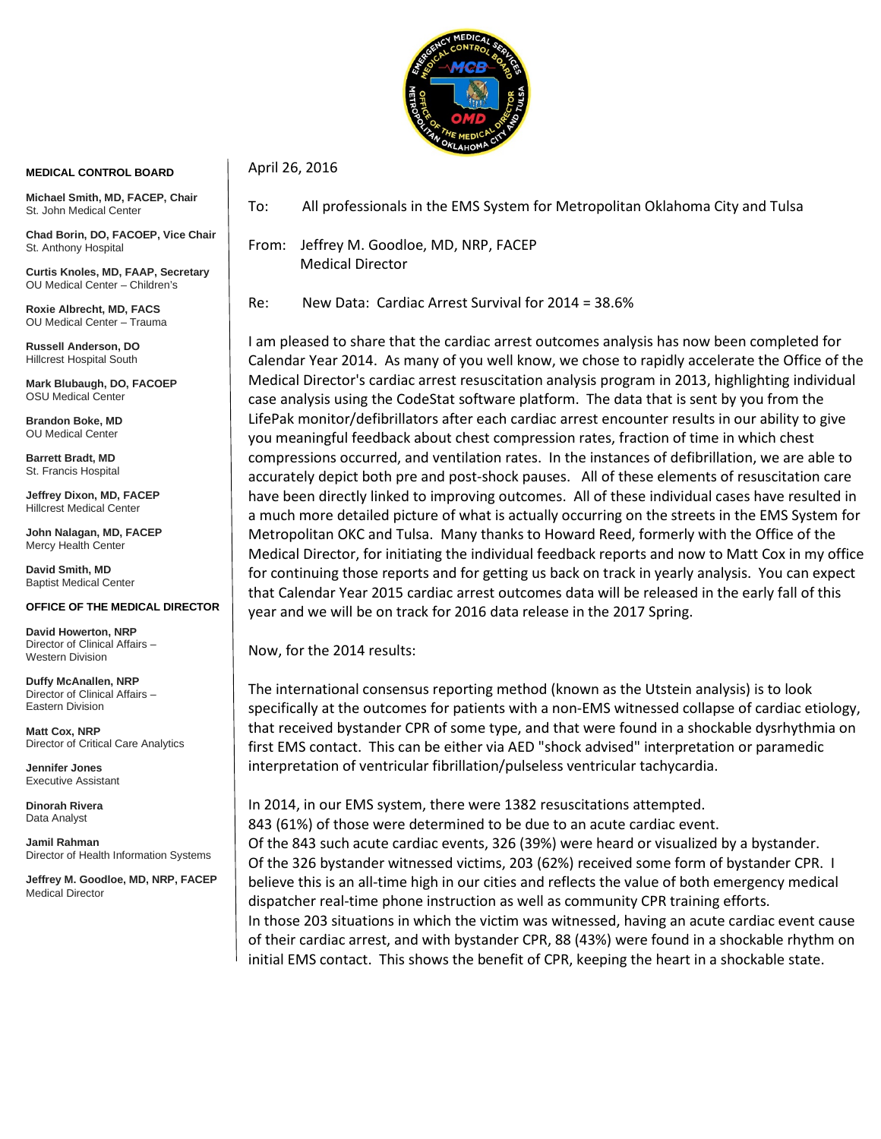

## **MEDICAL CONTROL BOARD**

**Michael Smith, MD, FACEP, Chair** St. John Medical Center

**Chad Borin, DO, FACOEP, Vice Chair**  St. Anthony Hospital

**Curtis Knoles, MD, FAAP, Secretary** OU Medical Center – Children's

**Roxie Albrecht, MD, FACS** OU Medical Center – Trauma

**Russell Anderson, DO** Hillcrest Hospital South

**Mark Blubaugh, DO, FACOEP** OSU Medical Center

**Brandon Boke, MD** OU Medical Center

**Barrett Bradt, MD** St. Francis Hospital

**Jeffrey Dixon, MD, FACEP** Hillcrest Medical Center

**John Nalagan, MD, FACEP** Mercy Health Center

**David Smith, MD** Baptist Medical Center

## **OFFICE OF THE MEDICAL DIRECTOR**

**David Howerton, NRP** Director of Clinical Affairs – Western Division

**Duffy McAnallen, NRP** Director of Clinical Affairs – Eastern Division

**Matt Cox, NRP** Director of Critical Care Analytics

**Jennifer Jones** Executive Assistant

**Dinorah Rivera** Data Analyst

**Jamil Rahman** Director of Health Information Systems

**Jeffrey M. Goodloe, MD, NRP, FACEP** Medical Director

To: All professionals in the EMS System for Metropolitan Oklahoma City and Tulsa

From: Jeffrey M. Goodloe, MD, NRP, FACEP Medical Director

April 26, 2016

Re: New Data: Cardiac Arrest Survival for 2014 = 38.6%

I am pleased to share that the cardiac arrest outcomes analysis has now been completed for Calendar Year 2014. As many of you well know, we chose to rapidly accelerate the Office of the Medical Director's cardiac arrest resuscitation analysis program in 2013, highlighting individual case analysis using the CodeStat software platform. The data that is sent by you from the LifePak monitor/defibrillators after each cardiac arrest encounter results in our ability to give you meaningful feedback about chest compression rates, fraction of time in which chest compressions occurred, and ventilation rates. In the instances of defibrillation, we are able to accurately depict both pre and post-shock pauses. All of these elements of resuscitation care have been directly linked to improving outcomes. All of these individual cases have resulted in a much more detailed picture of what is actually occurring on the streets in the EMS System for Metropolitan OKC and Tulsa. Many thanks to Howard Reed, formerly with the Office of the Medical Director, for initiating the individual feedback reports and now to Matt Cox in my office for continuing those reports and for getting us back on track in yearly analysis. You can expect that Calendar Year 2015 cardiac arrest outcomes data will be released in the early fall of this year and we will be on track for 2016 data release in the 2017 Spring.

Now, for the 2014 results:

The international consensus reporting method (known as the Utstein analysis) is to look specifically at the outcomes for patients with a non-EMS witnessed collapse of cardiac etiology, that received bystander CPR of some type, and that were found in a shockable dysrhythmia on first EMS contact. This can be either via AED "shock advised" interpretation or paramedic interpretation of ventricular fibrillation/pulseless ventricular tachycardia.

In 2014, in our EMS system, there were 1382 resuscitations attempted. 843 (61%) of those were determined to be due to an acute cardiac event. Of the 843 such acute cardiac events, 326 (39%) were heard or visualized by a bystander. Of the 326 bystander witnessed victims, 203 (62%) received some form of bystander CPR. I believe this is an all-time high in our cities and reflects the value of both emergency medical dispatcher real-time phone instruction as well as community CPR training efforts. In those 203 situations in which the victim was witnessed, having an acute cardiac event cause of their cardiac arrest, and with bystander CPR, 88 (43%) were found in a shockable rhythm on initial EMS contact. This shows the benefit of CPR, keeping the heart in a shockable state.